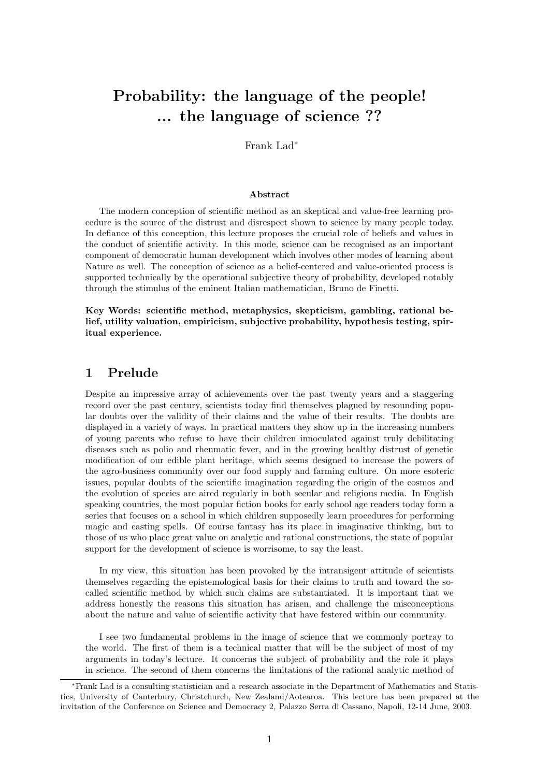# **Probability: the language of the people! ... the language of science ??**

Frank Lad<sup>∗</sup>

#### **Abstract**

The modern conception of scientific method as an skeptical and value-free learning procedure is the source of the distrust and disrespect shown to science by many people today. In defiance of this conception, this lecture proposes the crucial role of beliefs and values in the conduct of scientific activity. In this mode, science can be recognised as an important component of democratic human development which involves other modes of learning about Nature as well. The conception of science as a belief-centered and value-oriented process is supported technically by the operational subjective theory of probability, developed notably through the stimulus of the eminent Italian mathematician, Bruno de Finetti.

**Key Words: scientific method, metaphysics, skepticism, gambling, rational belief, utility valuation, empiricism, subjective probability, hypothesis testing, spiritual experience.**

# **1 Prelude**

Despite an impressive array of achievements over the past twenty years and a staggering record over the past century, scientists today find themselves plagued by resounding popular doubts over the validity of their claims and the value of their results. The doubts are displayed in a variety of ways. In practical matters they show up in the increasing numbers of young parents who refuse to have their children innoculated against truly debilitating diseases such as polio and rheumatic fever, and in the growing healthy distrust of genetic modification of our edible plant heritage, which seems designed to increase the powers of the agro-business community over our food supply and farming culture. On more esoteric issues, popular doubts of the scientific imagination regarding the origin of the cosmos and the evolution of species are aired regularly in both secular and religious media. In English speaking countries, the most popular fiction books for early school age readers today form a series that focuses on a school in which children supposedly learn procedures for performing magic and casting spells. Of course fantasy has its place in imaginative thinking, but to those of us who place great value on analytic and rational constructions, the state of popular support for the development of science is worrisome, to say the least.

In my view, this situation has been provoked by the intransigent attitude of scientists themselves regarding the epistemological basis for their claims to truth and toward the socalled scientific method by which such claims are substantiated. It is important that we address honestly the reasons this situation has arisen, and challenge the misconceptions about the nature and value of scientific activity that have festered within our community.

I see two fundamental problems in the image of science that we commonly portray to the world. The first of them is a technical matter that will be the subject of most of my arguments in today's lecture. It concerns the subject of probability and the role it plays in science. The second of them concerns the limitations of the rational analytic method of

<sup>∗</sup>Frank Lad is a consulting statistician and a research associate in the Department of Mathematics and Statistics, University of Canterbury, Christchurch, New Zealand/Aotearoa. This lecture has been prepared at the invitation of the Conference on Science and Democracy 2, Palazzo Serra di Cassano, Napoli, 12-14 June, 2003.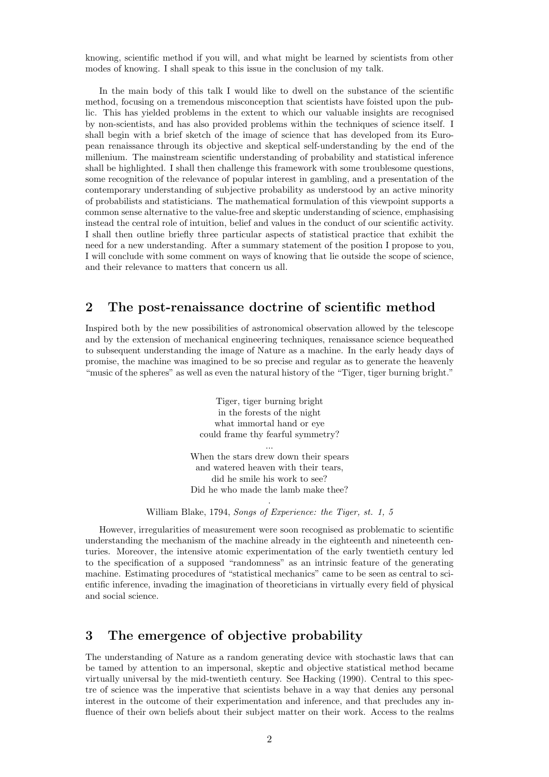knowing, scientific method if you will, and what might be learned by scientists from other modes of knowing. I shall speak to this issue in the conclusion of my talk.

In the main body of this talk I would like to dwell on the substance of the scientific method, focusing on a tremendous misconception that scientists have foisted upon the public. This has yielded problems in the extent to which our valuable insights are recognised by non-scientists, and has also provided problems within the techniques of science itself. I shall begin with a brief sketch of the image of science that has developed from its European renaissance through its objective and skeptical self-understanding by the end of the millenium. The mainstream scientific understanding of probability and statistical inference shall be highlighted. I shall then challenge this framework with some troublesome questions, some recognition of the relevance of popular interest in gambling, and a presentation of the contemporary understanding of subjective probability as understood by an active minority of probabilists and statisticians. The mathematical formulation of this viewpoint supports a common sense alternative to the value-free and skeptic understanding of science, emphasising instead the central role of intuition, belief and values in the conduct of our scientific activity. I shall then outline briefly three particular aspects of statistical practice that exhibit the need for a new understanding. After a summary statement of the position I propose to you, I will conclude with some comment on ways of knowing that lie outside the scope of science, and their relevance to matters that concern us all.

# **2 The post-renaissance doctrine of scientific method**

Inspired both by the new possibilities of astronomical observation allowed by the telescope and by the extension of mechanical engineering techniques, renaissance science bequeathed to subsequent understanding the image of Nature as a machine. In the early heady days of promise, the machine was imagined to be so precise and regular as to generate the heavenly "music of the spheres" as well as even the natural history of the "Tiger, tiger burning bright."

> Tiger, tiger burning bright in the forests of the night what immortal hand or eye could frame thy fearful symmetry? ... When the stars drew down their spears and watered heaven with their tears, did he smile his work to see?

Did he who made the lamb make thee? .

William Blake, 1794, *Songs of Experience: the Tiger, st. 1, 5*

However, irregularities of measurement were soon recognised as problematic to scientific understanding the mechanism of the machine already in the eighteenth and nineteenth centuries. Moreover, the intensive atomic experimentation of the early twentieth century led to the specification of a supposed "randomness" as an intrinsic feature of the generating machine. Estimating procedures of "statistical mechanics" came to be seen as central to scientific inference, invading the imagination of theoreticians in virtually every field of physical and social science.

# **3 The emergence of objective probability**

The understanding of Nature as a random generating device with stochastic laws that can be tamed by attention to an impersonal, skeptic and objective statistical method became virtually universal by the mid-twentieth century. See Hacking (1990). Central to this spectre of science was the imperative that scientists behave in a way that denies any personal interest in the outcome of their experimentation and inference, and that precludes any influence of their own beliefs about their subject matter on their work. Access to the realms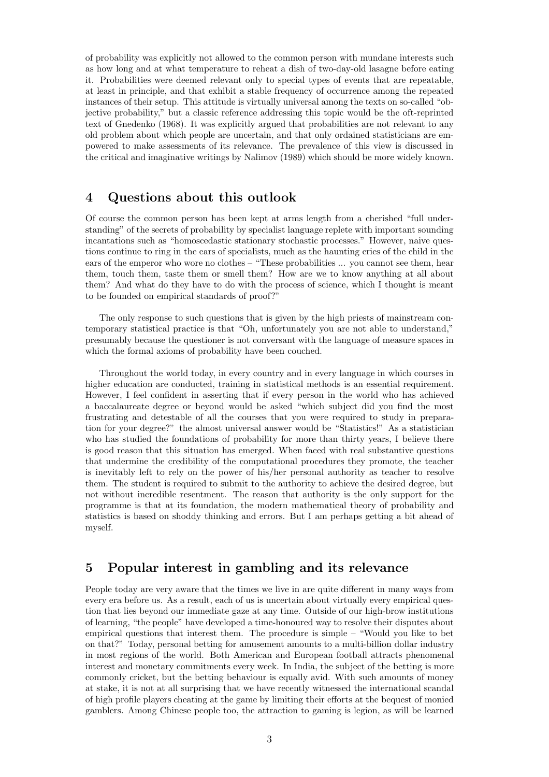of probability was explicitly not allowed to the common person with mundane interests such as how long and at what temperature to reheat a dish of two-day-old lasagne before eating it. Probabilities were deemed relevant only to special types of events that are repeatable, at least in principle, and that exhibit a stable frequency of occurrence among the repeated instances of their setup. This attitude is virtually universal among the texts on so-called "objective probability," but a classic reference addressing this topic would be the oft-reprinted text of Gnedenko (1968). It was explicitly argued that probabilities are not relevant to any old problem about which people are uncertain, and that only ordained statisticians are empowered to make assessments of its relevance. The prevalence of this view is discussed in the critical and imaginative writings by Nalimov (1989) which should be more widely known.

### **4 Questions about this outlook**

Of course the common person has been kept at arms length from a cherished "full understanding" of the secrets of probability by specialist language replete with important sounding incantations such as "homoscedastic stationary stochastic processes." However, naive questions continue to ring in the ears of specialists, much as the haunting cries of the child in the ears of the emperor who wore no clothes – "These probabilities ... you cannot see them, hear them, touch them, taste them or smell them? How are we to know anything at all about them? And what do they have to do with the process of science, which I thought is meant to be founded on empirical standards of proof?"

The only response to such questions that is given by the high priests of mainstream contemporary statistical practice is that "Oh, unfortunately you are not able to understand," presumably because the questioner is not conversant with the language of measure spaces in which the formal axioms of probability have been couched.

Throughout the world today, in every country and in every language in which courses in higher education are conducted, training in statistical methods is an essential requirement. However, I feel confident in asserting that if every person in the world who has achieved a baccalaureate degree or beyond would be asked "which subject did you find the most frustrating and detestable of all the courses that you were required to study in preparation for your degree?" the almost universal answer would be "Statistics!" As a statistician who has studied the foundations of probability for more than thirty years, I believe there is good reason that this situation has emerged. When faced with real substantive questions that undermine the credibility of the computational procedures they promote, the teacher is inevitably left to rely on the power of his/her personal authority as teacher to resolve them. The student is required to submit to the authority to achieve the desired degree, but not without incredible resentment. The reason that authority is the only support for the programme is that at its foundation, the modern mathematical theory of probability and statistics is based on shoddy thinking and errors. But I am perhaps getting a bit ahead of myself.

# **5 Popular interest in gambling and its relevance**

People today are very aware that the times we live in are quite different in many ways from every era before us. As a result, each of us is uncertain about virtually every empirical question that lies beyond our immediate gaze at any time. Outside of our high-brow institutions of learning, "the people" have developed a time-honoured way to resolve their disputes about empirical questions that interest them. The procedure is simple – "Would you like to bet on that?" Today, personal betting for amusement amounts to a multi-billion dollar industry in most regions of the world. Both American and European football attracts phenomenal interest and monetary commitments every week. In India, the subject of the betting is more commonly cricket, but the betting behaviour is equally avid. With such amounts of money at stake, it is not at all surprising that we have recently witnessed the international scandal of high profile players cheating at the game by limiting their efforts at the bequest of monied gamblers. Among Chinese people too, the attraction to gaming is legion, as will be learned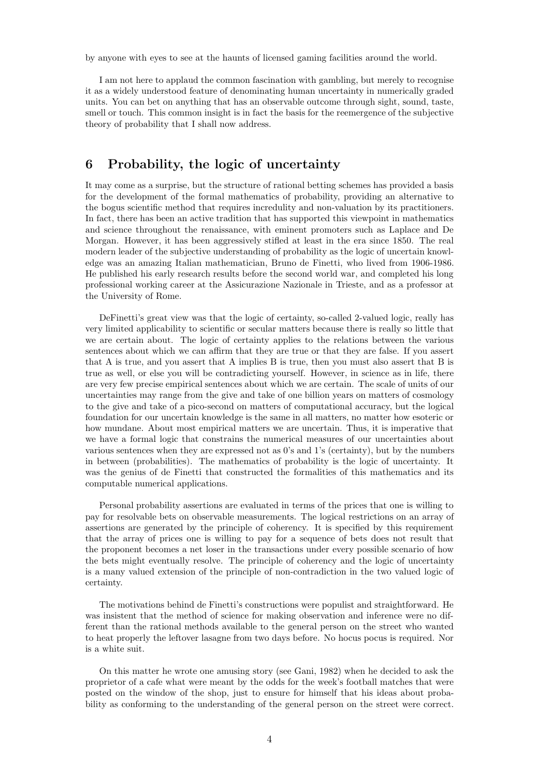by anyone with eyes to see at the haunts of licensed gaming facilities around the world.

I am not here to applaud the common fascination with gambling, but merely to recognise it as a widely understood feature of denominating human uncertainty in numerically graded units. You can bet on anything that has an observable outcome through sight, sound, taste, smell or touch. This common insight is in fact the basis for the reemergence of the subjective theory of probability that I shall now address.

# **6 Probability, the logic of uncertainty**

It may come as a surprise, but the structure of rational betting schemes has provided a basis for the development of the formal mathematics of probability, providing an alternative to the bogus scientific method that requires incredulity and non-valuation by its practitioners. In fact, there has been an active tradition that has supported this viewpoint in mathematics and science throughout the renaissance, with eminent promoters such as Laplace and De Morgan. However, it has been aggressively stifled at least in the era since 1850. The real modern leader of the subjective understanding of probability as the logic of uncertain knowledge was an amazing Italian mathematician, Bruno de Finetti, who lived from 1906-1986. He published his early research results before the second world war, and completed his long professional working career at the Assicurazione Nazionale in Trieste, and as a professor at the University of Rome.

DeFinetti's great view was that the logic of certainty, so-called 2-valued logic, really has very limited applicability to scientific or secular matters because there is really so little that we are certain about. The logic of certainty applies to the relations between the various sentences about which we can affirm that they are true or that they are false. If you assert that A is true, and you assert that A implies B is true, then you must also assert that B is true as well, or else you will be contradicting yourself. However, in science as in life, there are very few precise empirical sentences about which we are certain. The scale of units of our uncertainties may range from the give and take of one billion years on matters of cosmology to the give and take of a pico-second on matters of computational accuracy, but the logical foundation for our uncertain knowledge is the same in all matters, no matter how esoteric or how mundane. About most empirical matters we are uncertain. Thus, it is imperative that we have a formal logic that constrains the numerical measures of our uncertainties about various sentences when they are expressed not as 0's and 1's (certainty), but by the numbers in between (probabilities). The mathematics of probability is the logic of uncertainty. It was the genius of de Finetti that constructed the formalities of this mathematics and its computable numerical applications.

Personal probability assertions are evaluated in terms of the prices that one is willing to pay for resolvable bets on observable measurements. The logical restrictions on an array of assertions are generated by the principle of coherency. It is specified by this requirement that the array of prices one is willing to pay for a sequence of bets does not result that the proponent becomes a net loser in the transactions under every possible scenario of how the bets might eventually resolve. The principle of coherency and the logic of uncertainty is a many valued extension of the principle of non-contradiction in the two valued logic of certainty.

The motivations behind de Finetti's constructions were populist and straightforward. He was insistent that the method of science for making observation and inference were no different than the rational methods available to the general person on the street who wanted to heat properly the leftover lasagne from two days before. No hocus pocus is required. Nor is a white suit.

On this matter he wrote one amusing story (see Gani, 1982) when he decided to ask the proprietor of a cafe what were meant by the odds for the week's football matches that were posted on the window of the shop, just to ensure for himself that his ideas about probability as conforming to the understanding of the general person on the street were correct.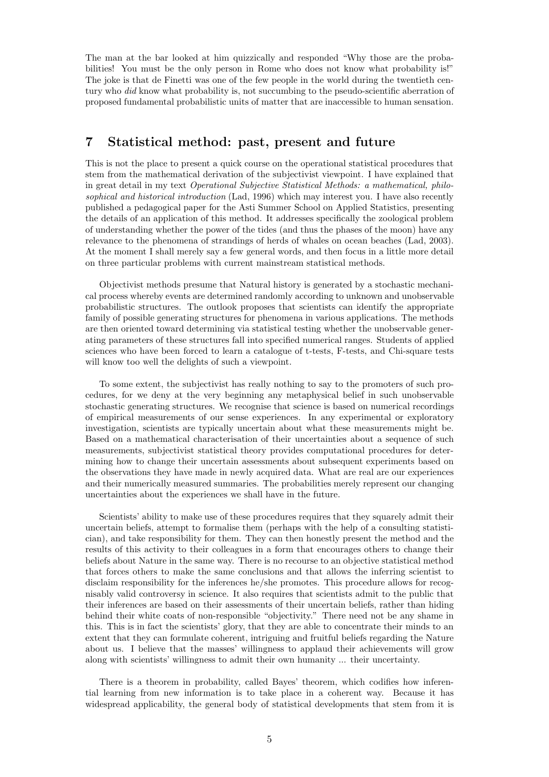The man at the bar looked at him quizzically and responded "Why those are the probabilities! You must be the only person in Rome who does not know what probability is!" The joke is that de Finetti was one of the few people in the world during the twentieth century who *did* know what probability is, not succumbing to the pseudo-scientific aberration of proposed fundamental probabilistic units of matter that are inaccessible to human sensation.

# **7 Statistical method: past, present and future**

This is not the place to present a quick course on the operational statistical procedures that stem from the mathematical derivation of the subjectivist viewpoint. I have explained that in great detail in my text *Operational Subjective Statistical Methods: a mathematical, philosophical and historical introduction* (Lad, 1996) which may interest you. I have also recently published a pedagogical paper for the Asti Summer School on Applied Statistics, presenting the details of an application of this method. It addresses specifically the zoological problem of understanding whether the power of the tides (and thus the phases of the moon) have any relevance to the phenomena of strandings of herds of whales on ocean beaches (Lad, 2003). At the moment I shall merely say a few general words, and then focus in a little more detail on three particular problems with current mainstream statistical methods.

Objectivist methods presume that Natural history is generated by a stochastic mechanical process whereby events are determined randomly according to unknown and unobservable probabilistic structures. The outlook proposes that scientists can identify the appropriate family of possible generating structures for phenomena in various applications. The methods are then oriented toward determining via statistical testing whether the unobservable generating parameters of these structures fall into specified numerical ranges. Students of applied sciences who have been forced to learn a catalogue of t-tests, F-tests, and Chi-square tests will know too well the delights of such a viewpoint.

To some extent, the subjectivist has really nothing to say to the promoters of such procedures, for we deny at the very beginning any metaphysical belief in such unobservable stochastic generating structures. We recognise that science is based on numerical recordings of empirical measurements of our sense experiences. In any experimental or exploratory investigation, scientists are typically uncertain about what these measurements might be. Based on a mathematical characterisation of their uncertainties about a sequence of such measurements, subjectivist statistical theory provides computational procedures for determining how to change their uncertain assessments about subsequent experiments based on the observations they have made in newly acquired data. What are real are our experiences and their numerically measured summaries. The probabilities merely represent our changing uncertainties about the experiences we shall have in the future.

Scientists' ability to make use of these procedures requires that they squarely admit their uncertain beliefs, attempt to formalise them (perhaps with the help of a consulting statistician), and take responsibility for them. They can then honestly present the method and the results of this activity to their colleagues in a form that encourages others to change their beliefs about Nature in the same way. There is no recourse to an objective statistical method that forces others to make the same conclusions and that allows the inferring scientist to disclaim responsibility for the inferences he/she promotes. This procedure allows for recognisably valid controversy in science. It also requires that scientists admit to the public that their inferences are based on their assessments of their uncertain beliefs, rather than hiding behind their white coats of non-responsible "objectivity." There need not be any shame in this. This is in fact the scientists' glory, that they are able to concentrate their minds to an extent that they can formulate coherent, intriguing and fruitful beliefs regarding the Nature about us. I believe that the masses' willingness to applaud their achievements will grow along with scientists' willingness to admit their own humanity ... their uncertainty.

There is a theorem in probability, called Bayes' theorem, which codifies how inferential learning from new information is to take place in a coherent way. Because it has widespread applicability, the general body of statistical developments that stem from it is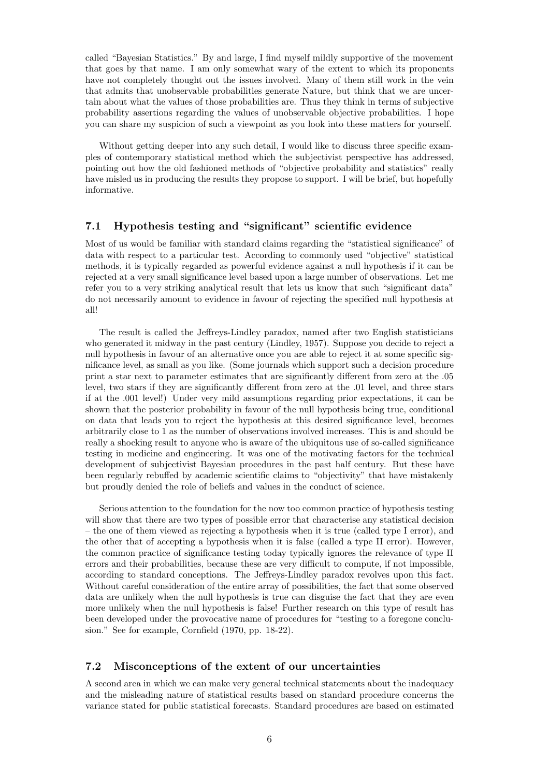called "Bayesian Statistics." By and large, I find myself mildly supportive of the movement that goes by that name. I am only somewhat wary of the extent to which its proponents have not completely thought out the issues involved. Many of them still work in the vein that admits that unobservable probabilities generate Nature, but think that we are uncertain about what the values of those probabilities are. Thus they think in terms of subjective probability assertions regarding the values of unobservable objective probabilities. I hope you can share my suspicion of such a viewpoint as you look into these matters for yourself.

Without getting deeper into any such detail, I would like to discuss three specific examples of contemporary statistical method which the subjectivist perspective has addressed, pointing out how the old fashioned methods of "objective probability and statistics" really have misled us in producing the results they propose to support. I will be brief, but hopefully informative.

#### **7.1 Hypothesis testing and "significant" scientific evidence**

Most of us would be familiar with standard claims regarding the "statistical significance" of data with respect to a particular test. According to commonly used "objective" statistical methods, it is typically regarded as powerful evidence against a null hypothesis if it can be rejected at a very small significance level based upon a large number of observations. Let me refer you to a very striking analytical result that lets us know that such "significant data" do not necessarily amount to evidence in favour of rejecting the specified null hypothesis at all!

The result is called the Jeffreys-Lindley paradox, named after two English statisticians who generated it midway in the past century (Lindley, 1957). Suppose you decide to reject a null hypothesis in favour of an alternative once you are able to reject it at some specific significance level, as small as you like. (Some journals which support such a decision procedure print a star next to parameter estimates that are significantly different from zero at the .05 level, two stars if they are significantly different from zero at the .01 level, and three stars if at the .001 level!) Under very mild assumptions regarding prior expectations, it can be shown that the posterior probability in favour of the null hypothesis being true, conditional on data that leads you to reject the hypothesis at this desired significance level, becomes arbitrarily close to 1 as the number of observations involved increases. This is and should be really a shocking result to anyone who is aware of the ubiquitous use of so-called significance testing in medicine and engineering. It was one of the motivating factors for the technical development of subjectivist Bayesian procedures in the past half century. But these have been regularly rebuffed by academic scientific claims to "objectivity" that have mistakenly but proudly denied the role of beliefs and values in the conduct of science.

Serious attention to the foundation for the now too common practice of hypothesis testing will show that there are two types of possible error that characterise any statistical decision – the one of them viewed as rejecting a hypothesis when it is true (called type I error), and the other that of accepting a hypothesis when it is false (called a type II error). However, the common practice of significance testing today typically ignores the relevance of type II errors and their probabilities, because these are very difficult to compute, if not impossible, according to standard conceptions. The Jeffreys-Lindley paradox revolves upon this fact. Without careful consideration of the entire array of possibilities, the fact that some observed data are unlikely when the null hypothesis is true can disguise the fact that they are even more unlikely when the null hypothesis is false! Further research on this type of result has been developed under the provocative name of procedures for "testing to a foregone conclusion." See for example, Cornfield (1970, pp. 18-22).

#### **7.2 Misconceptions of the extent of our uncertainties**

A second area in which we can make very general technical statements about the inadequacy and the misleading nature of statistical results based on standard procedure concerns the variance stated for public statistical forecasts. Standard procedures are based on estimated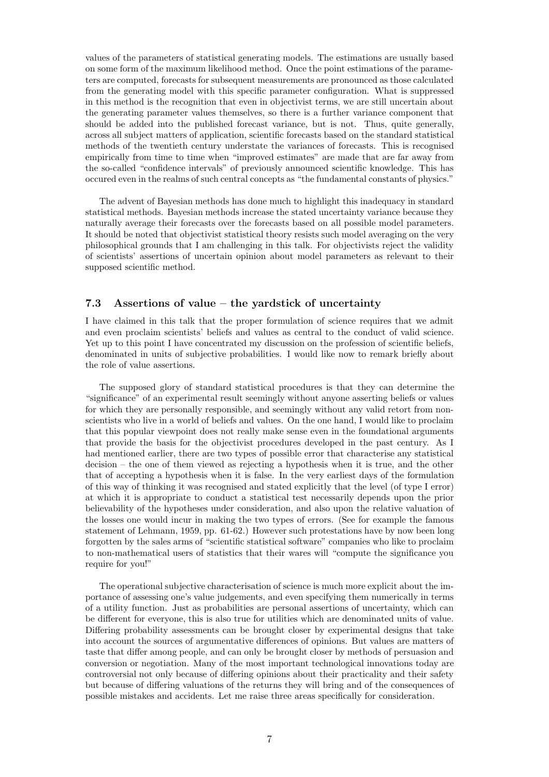values of the parameters of statistical generating models. The estimations are usually based on some form of the maximum likelihood method. Once the point estimations of the parameters are computed, forecasts for subsequent measurements are pronounced as those calculated from the generating model with this specific parameter configuration. What is suppressed in this method is the recognition that even in objectivist terms, we are still uncertain about the generating parameter values themselves, so there is a further variance component that should be added into the published forecast variance, but is not. Thus, quite generally, across all subject matters of application, scientific forecasts based on the standard statistical methods of the twentieth century understate the variances of forecasts. This is recognised empirically from time to time when "improved estimates" are made that are far away from the so-called "confidence intervals" of previously announced scientific knowledge. This has occured even in the realms of such central concepts as "the fundamental constants of physics."

The advent of Bayesian methods has done much to highlight this inadequacy in standard statistical methods. Bayesian methods increase the stated uncertainty variance because they naturally average their forecasts over the forecasts based on all possible model parameters. It should be noted that objectivist statistical theory resists such model averaging on the very philosophical grounds that I am challenging in this talk. For objectivists reject the validity of scientists' assertions of uncertain opinion about model parameters as relevant to their supposed scientific method.

#### **7.3 Assertions of value – the yardstick of uncertainty**

I have claimed in this talk that the proper formulation of science requires that we admit and even proclaim scientists' beliefs and values as central to the conduct of valid science. Yet up to this point I have concentrated my discussion on the profession of scientific beliefs, denominated in units of subjective probabilities. I would like now to remark briefly about the role of value assertions.

The supposed glory of standard statistical procedures is that they can determine the "significance" of an experimental result seemingly without anyone asserting beliefs or values for which they are personally responsible, and seemingly without any valid retort from nonscientists who live in a world of beliefs and values. On the one hand, I would like to proclaim that this popular viewpoint does not really make sense even in the foundational arguments that provide the basis for the objectivist procedures developed in the past century. As I had mentioned earlier, there are two types of possible error that characterise any statistical decision – the one of them viewed as rejecting a hypothesis when it is true, and the other that of accepting a hypothesis when it is false. In the very earliest days of the formulation of this way of thinking it was recognised and stated explicitly that the level (of type I error) at which it is appropriate to conduct a statistical test necessarily depends upon the prior believability of the hypotheses under consideration, and also upon the relative valuation of the losses one would incur in making the two types of errors. (See for example the famous statement of Lehmann, 1959, pp. 61-62.) However such protestations have by now been long forgotten by the sales arms of "scientific statistical software" companies who like to proclaim to non-mathematical users of statistics that their wares will "compute the significance you require for you!"

The operational subjective characterisation of science is much more explicit about the importance of assessing one's value judgements, and even specifying them numerically in terms of a utility function. Just as probabilities are personal assertions of uncertainty, which can be different for everyone, this is also true for utilities which are denominated units of value. Differing probability assessments can be brought closer by experimental designs that take into account the sources of argumentative differences of opinions. But values are matters of taste that differ among people, and can only be brought closer by methods of persuasion and conversion or negotiation. Many of the most important technological innovations today are controversial not only because of differing opinions about their practicality and their safety but because of differing valuations of the returns they will bring and of the consequences of possible mistakes and accidents. Let me raise three areas specifically for consideration.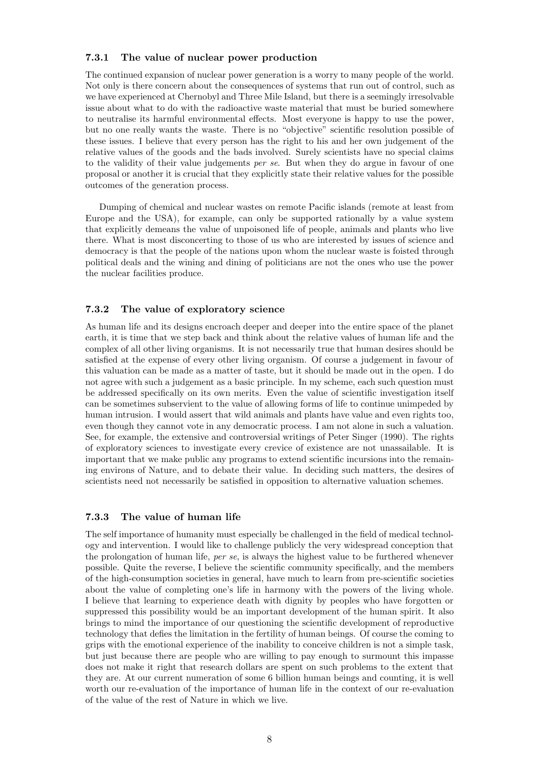#### **7.3.1 The value of nuclear power production**

The continued expansion of nuclear power generation is a worry to many people of the world. Not only is there concern about the consequences of systems that run out of control, such as we have experienced at Chernobyl and Three Mile Island, but there is a seemingly irresolvable issue about what to do with the radioactive waste material that must be buried somewhere to neutralise its harmful environmental effects. Most everyone is happy to use the power, but no one really wants the waste. There is no "objective" scientific resolution possible of these issues. I believe that every person has the right to his and her own judgement of the relative values of the goods and the bads involved. Surely scientists have no special claims to the validity of their value judgements *per se*. But when they do argue in favour of one proposal or another it is crucial that they explicitly state their relative values for the possible outcomes of the generation process.

Dumping of chemical and nuclear wastes on remote Pacific islands (remote at least from Europe and the USA), for example, can only be supported rationally by a value system that explicitly demeans the value of unpoisoned life of people, animals and plants who live there. What is most disconcerting to those of us who are interested by issues of science and democracy is that the people of the nations upon whom the nuclear waste is foisted through political deals and the wining and dining of politicians are not the ones who use the power the nuclear facilities produce.

#### **7.3.2 The value of exploratory science**

As human life and its designs encroach deeper and deeper into the entire space of the planet earth, it is time that we step back and think about the relative values of human life and the complex of all other living organisms. It is not necessarily true that human desires should be satisfied at the expense of every other living organism. Of course a judgement in favour of this valuation can be made as a matter of taste, but it should be made out in the open. I do not agree with such a judgement as a basic principle. In my scheme, each such question must be addressed specifically on its own merits. Even the value of scientific investigation itself can be sometimes subservient to the value of allowing forms of life to continue unimpeded by human intrusion. I would assert that wild animals and plants have value and even rights too, even though they cannot vote in any democratic process. I am not alone in such a valuation. See, for example, the extensive and controversial writings of Peter Singer (1990). The rights of exploratory sciences to investigate every crevice of existence are not unassailable. It is important that we make public any programs to extend scientific incursions into the remaining environs of Nature, and to debate their value. In deciding such matters, the desires of scientists need not necessarily be satisfied in opposition to alternative valuation schemes.

#### **7.3.3 The value of human life**

The self importance of humanity must especially be challenged in the field of medical technology and intervention. I would like to challenge publicly the very widespread conception that the prolongation of human life, *per se*, is always the highest value to be furthered whenever possible. Quite the reverse, I believe the scientific community specifically, and the members of the high-consumption societies in general, have much to learn from pre-scientific societies about the value of completing one's life in harmony with the powers of the living whole. I believe that learning to experience death with dignity by peoples who have forgotten or suppressed this possibility would be an important development of the human spirit. It also brings to mind the importance of our questioning the scientific development of reproductive technology that defies the limitation in the fertility of human beings. Of course the coming to grips with the emotional experience of the inability to conceive children is not a simple task, but just because there are people who are willing to pay enough to surmount this impasse does not make it right that research dollars are spent on such problems to the extent that they are. At our current numeration of some 6 billion human beings and counting, it is well worth our re-evaluation of the importance of human life in the context of our re-evaluation of the value of the rest of Nature in which we live.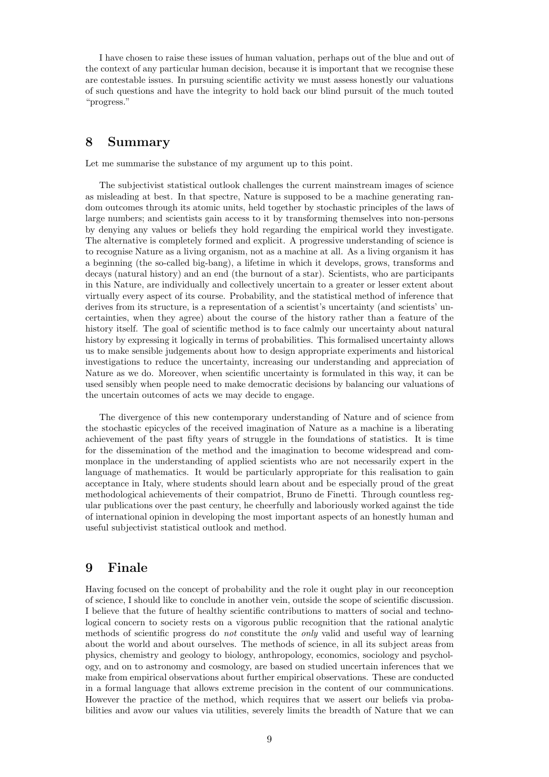I have chosen to raise these issues of human valuation, perhaps out of the blue and out of the context of any particular human decision, because it is important that we recognise these are contestable issues. In pursuing scientific activity we must assess honestly our valuations of such questions and have the integrity to hold back our blind pursuit of the much touted "progress."

# **8 Summary**

Let me summarise the substance of my argument up to this point.

The subjectivist statistical outlook challenges the current mainstream images of science as misleading at best. In that spectre, Nature is supposed to be a machine generating random outcomes through its atomic units, held together by stochastic principles of the laws of large numbers; and scientists gain access to it by transforming themselves into non-persons by denying any values or beliefs they hold regarding the empirical world they investigate. The alternative is completely formed and explicit. A progressive understanding of science is to recognise Nature as a living organism, not as a machine at all. As a living organism it has a beginning (the so-called big-bang), a lifetime in which it develops, grows, transforms and decays (natural history) and an end (the burnout of a star). Scientists, who are participants in this Nature, are individually and collectively uncertain to a greater or lesser extent about virtually every aspect of its course. Probability, and the statistical method of inference that derives from its structure, is a representation of a scientist's uncertainty (and scientists' uncertainties, when they agree) about the course of the history rather than a feature of the history itself. The goal of scientific method is to face calmly our uncertainty about natural history by expressing it logically in terms of probabilities. This formalised uncertainty allows us to make sensible judgements about how to design appropriate experiments and historical investigations to reduce the uncertainty, increasing our understanding and appreciation of Nature as we do. Moreover, when scientific uncertainty is formulated in this way, it can be used sensibly when people need to make democratic decisions by balancing our valuations of the uncertain outcomes of acts we may decide to engage.

The divergence of this new contemporary understanding of Nature and of science from the stochastic epicycles of the received imagination of Nature as a machine is a liberating achievement of the past fifty years of struggle in the foundations of statistics. It is time for the dissemination of the method and the imagination to become widespread and commonplace in the understanding of applied scientists who are not necessarily expert in the language of mathematics. It would be particularly appropriate for this realisation to gain acceptance in Italy, where students should learn about and be especially proud of the great methodological achievements of their compatriot, Bruno de Finetti. Through countless regular publications over the past century, he cheerfully and laboriously worked against the tide of international opinion in developing the most important aspects of an honestly human and useful subjectivist statistical outlook and method.

### **9 Finale**

Having focused on the concept of probability and the role it ought play in our reconception of science, I should like to conclude in another vein, outside the scope of scientific discussion. I believe that the future of healthy scientific contributions to matters of social and technological concern to society rests on a vigorous public recognition that the rational analytic methods of scientific progress do *not* constitute the *only* valid and useful way of learning about the world and about ourselves. The methods of science, in all its subject areas from physics, chemistry and geology to biology, anthropology, economics, sociology and psychology, and on to astronomy and cosmology, are based on studied uncertain inferences that we make from empirical observations about further empirical observations. These are conducted in a formal language that allows extreme precision in the content of our communications. However the practice of the method, which requires that we assert our beliefs via probabilities and avow our values via utilities, severely limits the breadth of Nature that we can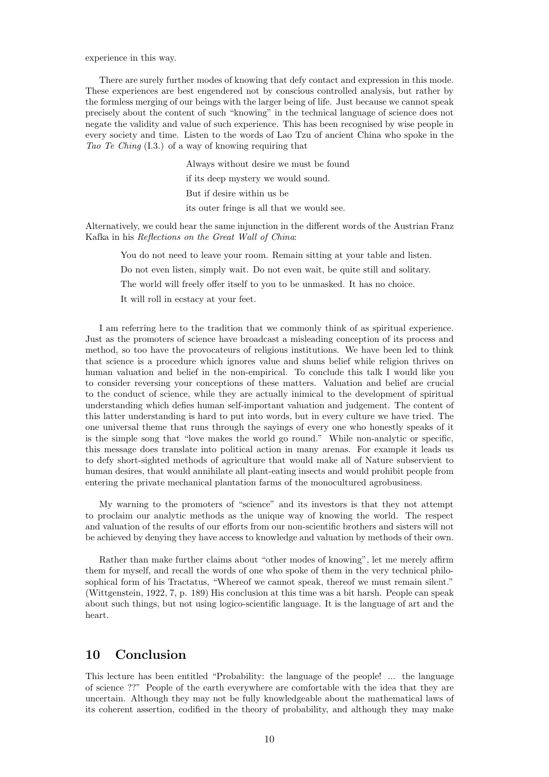experience in this way.

There are surely further modes of knowing that defy contact and expression in this mode. These experiences are best engendered not by conscious controlled analysis, but rather by the formless merging of our beings with the larger being of life. Just because we cannot speak precisely about the content of such "knowing" in the technical language of science does not negate the validity and value of such experience. This has been recognised by wise people in every society and time. Listen to the words of Lao Tzu of ancient China who spoke in the *Tao Te Ching* (I.3.) of a way of knowing requiring that

> Always without desire we must be found if its deep mystery we would sound. But if desire within us be

its outer fringe is all that we would see.

Alternatively, we could hear the same injunction in the different words of the Austrian Franz Kafka in his *Reflections on the Great Wall of China*:

You do not need to leave your room. Remain sitting at your table and listen.

Do not even listen, simply wait. Do not even wait, be quite still and solitary.

The world will freely offer itself to you to be unmasked. It has no choice.

It will roll in ecstacy at your feet.

I am referring here to the tradition that we commonly think of as spiritual experience. Just as the promoters of science have broadcast a misleading conception of its process and method, so too have the provocateurs of religious institutions. We have been led to think that science is a procedure which ignores value and shuns belief while religion thrives on human valuation and belief in the non-empirical. To conclude this talk I would like you to consider reversing your conceptions of these matters. Valuation and belief are crucial to the conduct of science, while they are actually inimical to the development of spiritual understanding which defies human self-important valuation and judgement. The content of this latter understanding is hard to put into words, but in every culture we have tried. The one universal theme that runs through the sayings of every one who honestly speaks of it is the simple song that "love makes the world go round." While non-analytic or specific, this message does translate into political action in many arenas. For example it leads us to defy short-sighted methods of agriculture that would make all of Nature subservient to human desires, that would annihilate all plant-eating insects and would prohibit people from entering the private mechanical plantation farms of the monocultured agrobusiness.

My warning to the promoters of "science" and its investors is that they not attempt to proclaim our analytic methods as the unique way of knowing the world. The respect and valuation of the results of our efforts from our non-scientific brothers and sisters will not be achieved by denying they have access to knowledge and valuation by methods of their own.

Rather than make further claims about "other modes of knowing", let me merely affirm them for myself, and recall the words of one who spoke of them in the very technical philosophical form of his Tractatus, "Whereof we cannot speak, thereof we must remain silent." (Wittgenstein, 1922, 7, p. 189) His conclusion at this time was a bit harsh. People can speak about such things, but not using logico-scientific language. It is the language of art and the heart.

# **10 Conclusion**

This lecture has been entitled "Probability: the language of the people! ... the language of science ??" People of the earth everywhere are comfortable with the idea that they are uncertain. Although they may not be fully knowledgeable about the mathematical laws of its coherent assertion, codified in the theory of probability, and although they may make